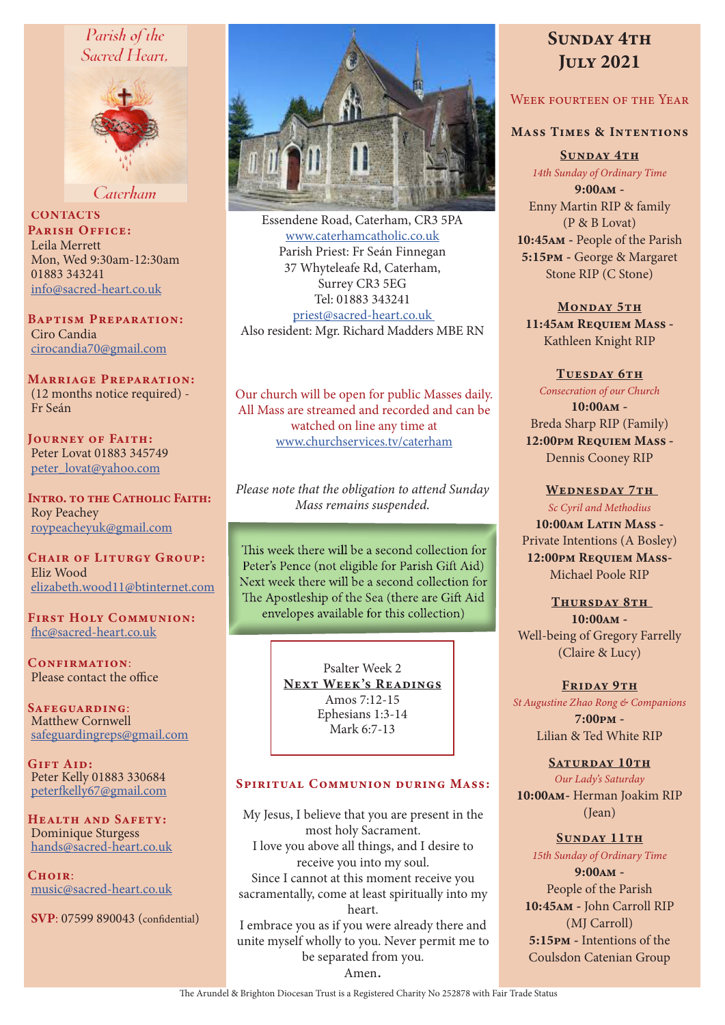## Parish of the Sacred Heart,



Caterham

**CONTACTS** PARISH OFFICE: Leila Merrett Mon, Wed 9:30am-12:30am 01883 343241 info@sacred-heart.co.uk

Baptism Preparation: Ciro Candia cirocandia70@gmail.com

Marriage Preparation: (12 months notice required) - Fr Seán

Journey of Faith: Peter Lovat 01883 345749 peter\_lovat@yahoo.com

Intro. to the Catholic Faith: Roy Peachey roypeacheyuk@gmail.com

CHAIR OF LITURGY GROUP: Eliz Wood elizabeth.wood11@btinternet.com

First Holy Communion: fhc@sacred-heart.co.uk

CONFIRMATION: Please contact the office

Safeguarding: Matthew Cornwell safeguardingreps@gmail.com

GIFT AID: Peter Kelly 01883 330684 peterfkelly67@gmail.com

HEALTH AND SAFETY: Dominique Sturgess hands@sacred-heart.co.uk

 $C$ HOIR: music@sacred-heart.co.uk

SVP: 07599 890043 (confidential)



Essendene Road, Caterham, CR3 5PA www.caterhamcatholic.co.uk Parish Priest: Fr Seán Finnegan 37 Whyteleafe Rd, Caterham, Surrey CR3 5EG Tel: 01883 343241 priest@sacred-heart.co.uk Also resident: Mgr. Richard Madders MBE RN

Our church will be open for public Masses daily. All Mass are streamed and recorded and can be watched on line any time at www.churchservices.tv/caterham

*Please note that the obligation to attend Sunday Mass remains suspended.*

This week there will be a second collection for Peter's Pence (not eligible for Parish Gift Aid) Next week there will be a second collection for The Apostleship of the Sea (there are Gift Aid envelopes available for this collection)

> Psalter Week 2 NEXT WEEK'S READINGS Amos 7:12-15 Ephesians 1:3-14 Mark 6:7-13

#### SPIRITUAL COMMUNION DURING MASS:

My Jesus, I believe that you are present in the most holy Sacrament. I love you above all things, and I desire to receive you into my soul. Since I cannot at this moment receive you sacramentally, come at least spiritually into my heart. I embrace you as if you were already there and unite myself wholly to you. Never permit me to be separated from you. Amen.

# SUNDAY 4TH July 2021

## WEEK FOURTEEN OF THE YEAR

#### Mass Times & Intentions

SUNDAY 4TH *14th Sunday of Ordinary Time*

9:00am - Enny Martin RIP & family (P & B Lovat) 10:45am - People of the Parish 5:15pm - George & Margaret Stone RIP (C Stone)

MONDAY 5TH 11:45am Requiem Mass - Kathleen Knight RIP

TUESDAY 6TH

*Consecration of our Church*

10:00am - Breda Sharp RIP (Family) 12:00pm Requiem Mass - Dennis Cooney RIP

WEDNESDAY 7TH

*Sc Cyril and Methodius* 10:00am Latin Mass -Private Intentions (A Bosley) 12:00pm Requiem Mass-Michael Poole RIP

Thursday 8th 10:00am - Well-being of Gregory Farrelly (Claire & Lucy)

FRIDAY 9TH *St Augustine Zhao Rong & Companions* 7:00pm - Lilian & Ted White RIP

SATURDAY 10TH *Our Lady's Saturday* 10:00am- Herman Joakim RIP (Jean)

SUNDAY 11TH *15th Sunday of Ordinary Time* 9:00am - People of the Parish 10:45am - John Carroll RIP (MJ Carroll) 5:15pm - Intentions of the Coulsdon Catenian Group